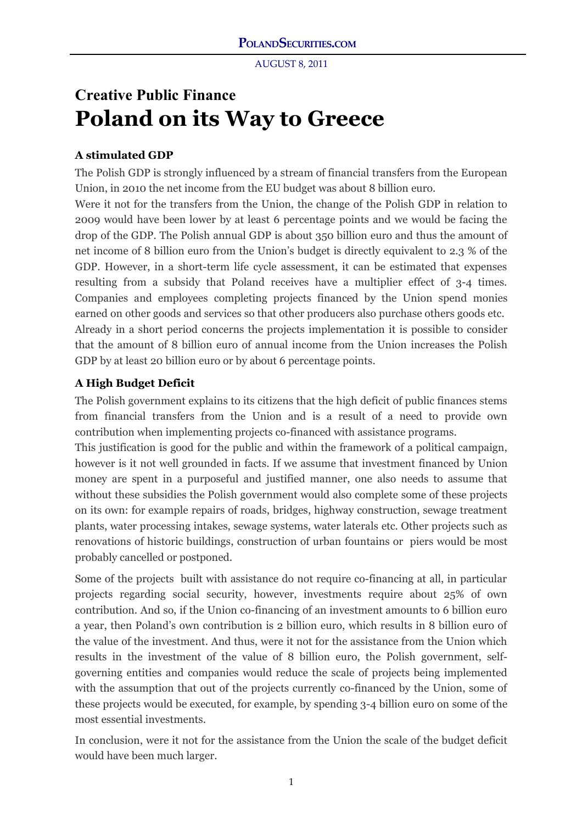# **Creative Public Finance Poland on its Way to Greece**

## **A stimulated GDP**

The Polish GDP is strongly influenced by a stream of financial transfers from the European Union, in 2010 the net income from the EU budget was about 8 billion euro.

Were it not for the transfers from the Union, the change of the Polish GDP in relation to 2009 would have been lower by at least 6 percentage points and we would be facing the drop of the GDP. The Polish annual GDP is about 350 billion euro and thus the amount of net income of 8 billion euro from the Union's budget is directly equivalent to 2.3 % of the GDP. However, in a short-term life cycle assessment, it can be estimated that expenses resulting from a subsidy that Poland receives have a multiplier effect of 3-4 times. Companies and employees completing projects financed by the Union spend monies earned on other goods and services so that other producers also purchase others goods etc. Already in a short period concerns the projects implementation it is possible to consider that the amount of 8 billion euro of annual income from the Union increases the Polish GDP by at least 20 billion euro or by about 6 percentage points.

## **A High Budget Deficit**

The Polish government explains to its citizens that the high deficit of public finances stems from financial transfers from the Union and is a result of a need to provide own contribution when implementing projects co-financed with assistance programs.

This justification is good for the public and within the framework of a political campaign, however is it not well grounded in facts. If we assume that investment financed by Union money are spent in a purposeful and justified manner, one also needs to assume that without these subsidies the Polish government would also complete some of these projects on its own: for example repairs of roads, bridges, highway construction, sewage treatment plants, water processing intakes, sewage systems, water laterals etc. Other projects such as renovations of historic buildings, construction of urban fountains or piers would be most probably cancelled or postponed.

Some of the projects built with assistance do not require co-financing at all, in particular projects regarding social security, however, investments require about 25% of own contribution. And so, if the Union co-financing of an investment amounts to 6 billion euro a year, then Poland's own contribution is 2 billion euro, which results in 8 billion euro of the value of the investment. And thus, were it not for the assistance from the Union which results in the investment of the value of 8 billion euro, the Polish government, selfgoverning entities and companies would reduce the scale of projects being implemented with the assumption that out of the projects currently co-financed by the Union, some of these projects would be executed, for example, by spending 3-4 billion euro on some of the most essential investments.

In conclusion, were it not for the assistance from the Union the scale of the budget deficit would have been much larger.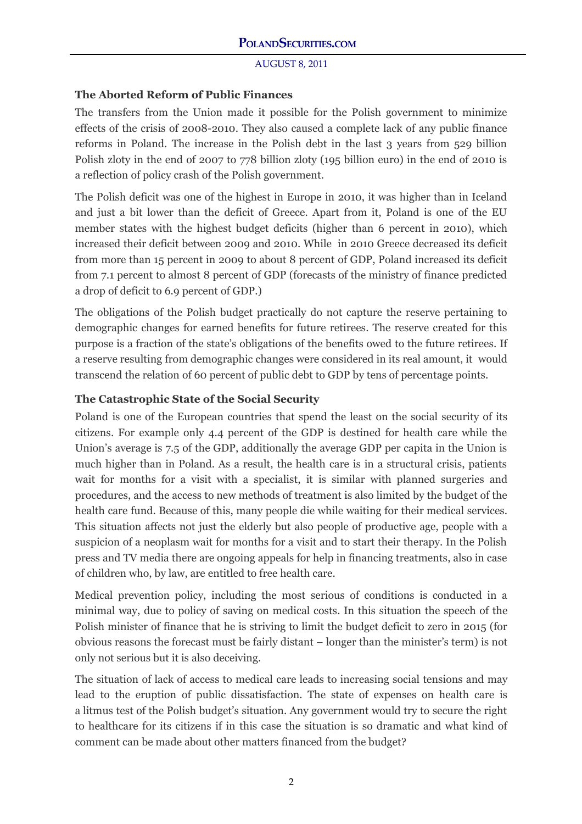## **The Aborted Reform of Public Finances**

The transfers from the Union made it possible for the Polish government to minimize effects of the crisis of 2008-2010. They also caused a complete lack of any public finance reforms in Poland. The increase in the Polish debt in the last 3 years from 529 billion Polish zloty in the end of 2007 to 778 billion zloty (195 billion euro) in the end of 2010 is a reflection of policy crash of the Polish government.

The Polish deficit was one of the highest in Europe in 2010, it was higher than in Iceland and just a bit lower than the deficit of Greece. Apart from it, Poland is one of the EU member states with the highest budget deficits (higher than 6 percent in 2010), which increased their deficit between 2009 and 2010. While in 2010 Greece decreased its deficit from more than 15 percent in 2009 to about 8 percent of GDP, Poland increased its deficit from 7.1 percent to almost 8 percent of GDP (forecasts of the ministry of finance predicted a drop of deficit to 6.9 percent of GDP.)

The obligations of the Polish budget practically do not capture the reserve pertaining to demographic changes for earned benefits for future retirees. The reserve created for this purpose is a fraction of the state's obligations of the benefits owed to the future retirees. If a reserve resulting from demographic changes were considered in its real amount, it would transcend the relation of 60 percent of public debt to GDP by tens of percentage points.

## **The Catastrophic State of the Social Security**

Poland is one of the European countries that spend the least on the social security of its citizens. For example only 4.4 percent of the GDP is destined for health care while the Union's average is 7.5 of the GDP, additionally the average GDP per capita in the Union is much higher than in Poland. As a result, the health care is in a structural crisis, patients wait for months for a visit with a specialist, it is similar with planned surgeries and procedures, and the access to new methods of treatment is also limited by the budget of the health care fund. Because of this, many people die while waiting for their medical services. This situation affects not just the elderly but also people of productive age, people with a suspicion of a neoplasm wait for months for a visit and to start their therapy. In the Polish press and TV media there are ongoing appeals for help in financing treatments, also in case of children who, by law, are entitled to free health care.

Medical prevention policy, including the most serious of conditions is conducted in a minimal way, due to policy of saving on medical costs. In this situation the speech of the Polish minister of finance that he is striving to limit the budget deficit to zero in 2015 (for obvious reasons the forecast must be fairly distant – longer than the minister's term) is not only not serious but it is also deceiving.

The situation of lack of access to medical care leads to increasing social tensions and may lead to the eruption of public dissatisfaction. The state of expenses on health care is a litmus test of the Polish budget's situation. Any government would try to secure the right to healthcare for its citizens if in this case the situation is so dramatic and what kind of comment can be made about other matters financed from the budget?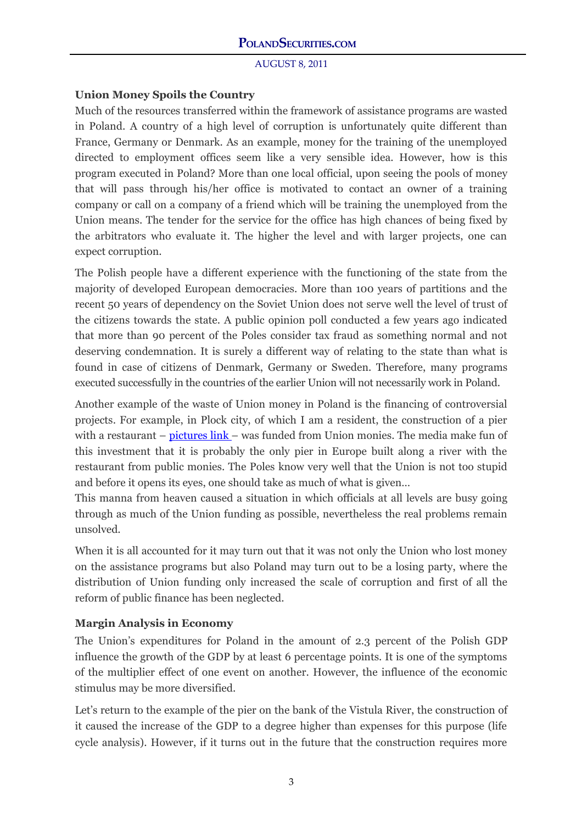# **Union Money Spoils the Country**

Much of the resources transferred within the framework of assistance programs are wasted in Poland. A country of a high level of corruption is unfortunately quite different than France, Germany or Denmark. As an example, money for the training of the unemployed directed to employment offices seem like a very sensible idea. However, how is this program executed in Poland? More than one local official, upon seeing the pools of money that will pass through his/her office is motivated to contact an owner of a training company or call on a company of a friend which will be training the unemployed from the Union means. The tender for the service for the office has high chances of being fixed by the arbitrators who evaluate it. The higher the level and with larger projects, one can expect corruption.

The Polish people have a different experience with the functioning of the state from the majority of developed European democracies. More than 100 years of partitions and the recent 50 years of dependency on the Soviet Union does not serve well the level of trust of the citizens towards the state. A public opinion poll conducted a few years ago indicated that more than 90 percent of the Poles consider tax fraud as something normal and not deserving condemnation. It is surely a different way of relating to the state than what is found in case of citizens of Denmark, Germany or Sweden. Therefore, many programs executed successfully in the countries of the earlier Union will not necessarily work in Poland.

Another example of the waste of Union money in Poland is the financing of controversial projects. For example, in Plock city, of which I am a resident, the construction of a pier with a restaurant – [pictures link –](http://plock.gazeta.pl/plock/51,110945,8818625.html?i=3) was funded from Union monies. The media make fun of this investment that it is probably the only pier in Europe built along a river with the restaurant from public monies. The Poles know very well that the Union is not too stupid and before it opens its eyes, one should take as much of what is given…

This manna from heaven caused a situation in which officials at all levels are busy going through as much of the Union funding as possible, nevertheless the real problems remain unsolved.

When it is all accounted for it may turn out that it was not only the Union who lost money on the assistance programs but also Poland may turn out to be a losing party, where the distribution of Union funding only increased the scale of corruption and first of all the reform of public finance has been neglected.

# **Margin Analysis in Economy**

The Union's expenditures for Poland in the amount of 2.3 percent of the Polish GDP influence the growth of the GDP by at least 6 percentage points. It is one of the symptoms of the multiplier effect of one event on another. However, the influence of the economic stimulus may be more diversified.

Let's return to the example of the pier on the bank of the Vistula River, the construction of it caused the increase of the GDP to a degree higher than expenses for this purpose (life cycle analysis). However, if it turns out in the future that the construction requires more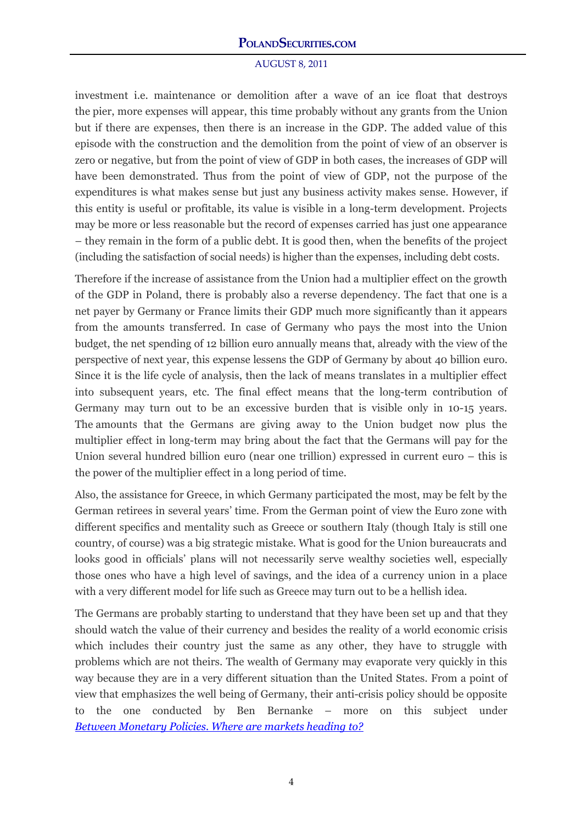## **POLANDSECURITIES.COM**

#### AUGUST 8, 2011

investment i.e. maintenance or demolition after a wave of an ice float that destroys the pier, more expenses will appear, this time probably without any grants from the Union but if there are expenses, then there is an increase in the GDP. The added value of this episode with the construction and the demolition from the point of view of an observer is zero or negative, but from the point of view of GDP in both cases, the increases of GDP will have been demonstrated. Thus from the point of view of GDP, not the purpose of the expenditures is what makes sense but just any business activity makes sense. However, if this entity is useful or profitable, its value is visible in a long-term development. Projects may be more or less reasonable but the record of expenses carried has just one appearance – they remain in the form of a public debt. It is good then, when the benefits of the project (including the satisfaction of social needs) is higher than the expenses, including debt costs.

Therefore if the increase of assistance from the Union had a multiplier effect on the growth of the GDP in Poland, there is probably also a reverse dependency. The fact that one is a net payer by Germany or France limits their GDP much more significantly than it appears from the amounts transferred. In case of Germany who pays the most into the Union budget, the net spending of 12 billion euro annually means that, already with the view of the perspective of next year, this expense lessens the GDP of Germany by about 40 billion euro. Since it is the life cycle of analysis, then the lack of means translates in a multiplier effect into subsequent years, etc. The final effect means that the long-term contribution of Germany may turn out to be an excessive burden that is visible only in 10-15 years. The amounts that the Germans are giving away to the Union budget now plus the multiplier effect in long-term may bring about the fact that the Germans will pay for the Union several hundred billion euro (near one trillion) expressed in current euro – this is the power of the multiplier effect in a long period of time.

Also, the assistance for Greece, in which Germany participated the most, may be felt by the German retirees in several years' time. From the German point of view the Euro zone with different specifics and mentality such as Greece or southern Italy (though Italy is still one country, of course) was a big strategic mistake. What is good for the Union bureaucrats and looks good in officials' plans will not necessarily serve wealthy societies well, especially those ones who have a high level of savings, and the idea of a currency union in a place with a very different model for life such as Greece may turn out to be a hellish idea.

The Germans are probably starting to understand that they have been set up and that they should watch the value of their currency and besides the reality of a world economic crisis which includes their country just the same as any other, they have to struggle with problems which are not theirs. The wealth of Germany may evaporate very quickly in this way because they are in a very different situation than the United States. From a point of view that emphasizes the well being of Germany, their anti-crisis policy should be opposite to the one conducted by Ben Bernanke – more on this subject under *[Between Monetary Policies. Where are markets heading to?](http://www.polandsecurities.com/Where_are_markets_heading_to.pdf)*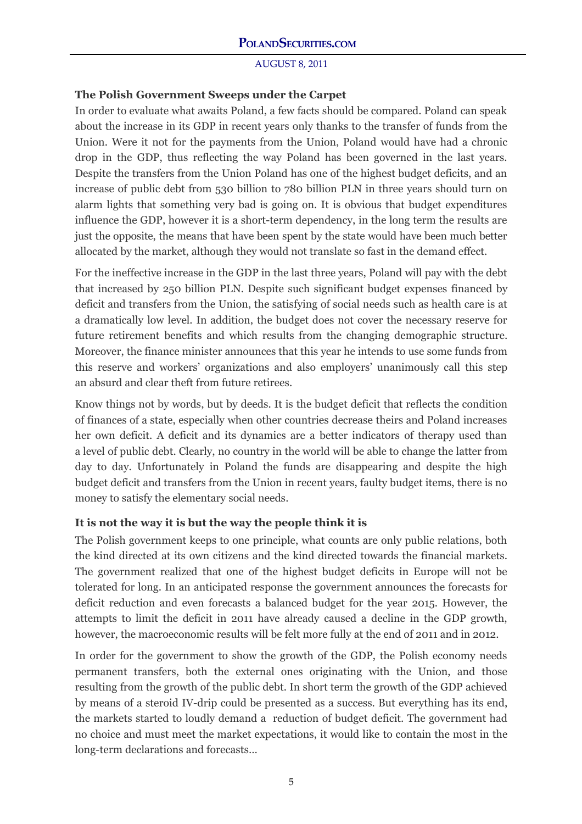## **The Polish Government Sweeps under the Carpet**

In order to evaluate what awaits Poland, a few facts should be compared. Poland can speak about the increase in its GDP in recent years only thanks to the transfer of funds from the Union. Were it not for the payments from the Union, Poland would have had a chronic drop in the GDP, thus reflecting the way Poland has been governed in the last years. Despite the transfers from the Union Poland has one of the highest budget deficits, and an increase of public debt from 530 billion to 780 billion PLN in three years should turn on alarm lights that something very bad is going on. It is obvious that budget expenditures influence the GDP, however it is a short-term dependency, in the long term the results are just the opposite, the means that have been spent by the state would have been much better allocated by the market, although they would not translate so fast in the demand effect.

For the ineffective increase in the GDP in the last three years, Poland will pay with the debt that increased by 250 billion PLN. Despite such significant budget expenses financed by deficit and transfers from the Union, the satisfying of social needs such as health care is at a dramatically low level. In addition, the budget does not cover the necessary reserve for future retirement benefits and which results from the changing demographic structure. Moreover, the finance minister announces that this year he intends to use some funds from this reserve and workers' organizations and also employers' unanimously call this step an absurd and clear theft from future retirees.

Know things not by words, but by deeds. It is the budget deficit that reflects the condition of finances of a state, especially when other countries decrease theirs and Poland increases her own deficit. A deficit and its dynamics are a better indicators of therapy used than a level of public debt. Clearly, no country in the world will be able to change the latter from day to day. Unfortunately in Poland the funds are disappearing and despite the high budget deficit and transfers from the Union in recent years, faulty budget items, there is no money to satisfy the elementary social needs.

#### **It is not the way it is but the way the people think it is**

The Polish government keeps to one principle, what counts are only public relations, both the kind directed at its own citizens and the kind directed towards the financial markets. The government realized that one of the highest budget deficits in Europe will not be tolerated for long. In an anticipated response the government announces the forecasts for deficit reduction and even forecasts a balanced budget for the year 2015. However, the attempts to limit the deficit in 2011 have already caused a decline in the GDP growth, however, the macroeconomic results will be felt more fully at the end of 2011 and in 2012.

In order for the government to show the growth of the GDP, the Polish economy needs permanent transfers, both the external ones originating with the Union, and those resulting from the growth of the public debt. In short term the growth of the GDP achieved by means of a steroid IV-drip could be presented as a success. But everything has its end, the markets started to loudly demand a reduction of budget deficit. The government had no choice and must meet the market expectations, it would like to contain the most in the long-term declarations and forecasts…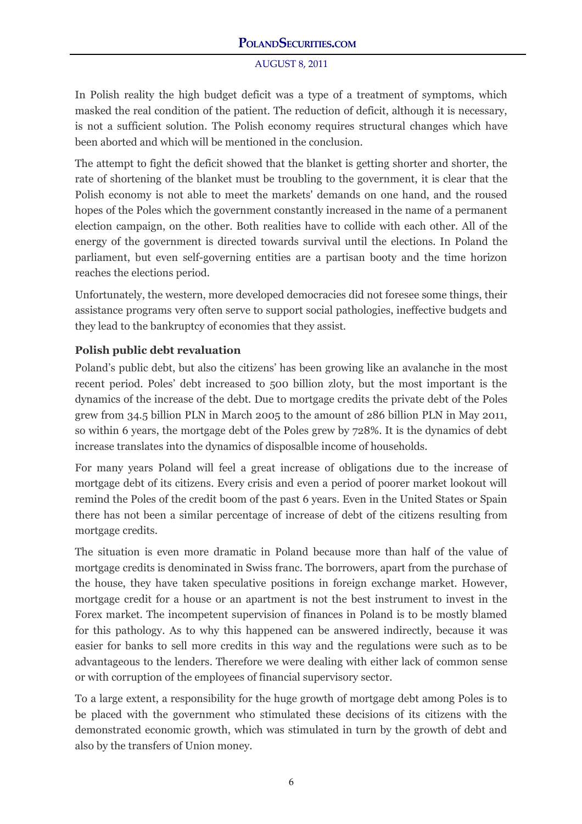In Polish reality the high budget deficit was a type of a treatment of symptoms, which masked the real condition of the patient. The reduction of deficit, although it is necessary, is not a sufficient solution. The Polish economy requires structural changes which have been aborted and which will be mentioned in the conclusion.

The attempt to fight the deficit showed that the blanket is getting shorter and shorter, the rate of shortening of the blanket must be troubling to the government, it is clear that the Polish economy is not able to meet the markets' demands on one hand, and the roused hopes of the Poles which the government constantly increased in the name of a permanent election campaign, on the other. Both realities have to collide with each other. All of the energy of the government is directed towards survival until the elections. In Poland the parliament, but even self-governing entities are a partisan booty and the time horizon reaches the elections period.

Unfortunately, the western, more developed democracies did not foresee some things, their assistance programs very often serve to support social pathologies, ineffective budgets and they lead to the bankruptcy of economies that they assist.

# **Polish public debt revaluation**

Poland's public debt, but also the citizens' has been growing like an avalanche in the most recent period. Poles' debt increased to 500 billion zloty, but the most important is the dynamics of the increase of the debt. Due to mortgage credits the private debt of the Poles grew from 34.5 billion PLN in March 2005 to the amount of 286 billion PLN in May 2011, so within 6 years, the mortgage debt of the Poles grew by 728%. It is the dynamics of debt increase translates into the dynamics of disposalble income of households.

For many years Poland will feel a great increase of obligations due to the increase of mortgage debt of its citizens. Every crisis and even a period of poorer market lookout will remind the Poles of the credit boom of the past 6 years. Even in the United States or Spain there has not been a similar percentage of increase of debt of the citizens resulting from mortgage credits.

The situation is even more dramatic in Poland because more than half of the value of mortgage credits is denominated in Swiss franc. The borrowers, apart from the purchase of the house, they have taken speculative positions in foreign exchange market. However, mortgage credit for a house or an apartment is not the best instrument to invest in the Forex market. The incompetent supervision of finances in Poland is to be mostly blamed for this pathology. As to why this happened can be answered indirectly, because it was easier for banks to sell more credits in this way and the regulations were such as to be advantageous to the lenders. Therefore we were dealing with either lack of common sense or with corruption of the employees of financial supervisory sector.

To a large extent, a responsibility for the huge growth of mortgage debt among Poles is to be placed with the government who stimulated these decisions of its citizens with the demonstrated economic growth, which was stimulated in turn by the growth of debt and also by the transfers of Union money.